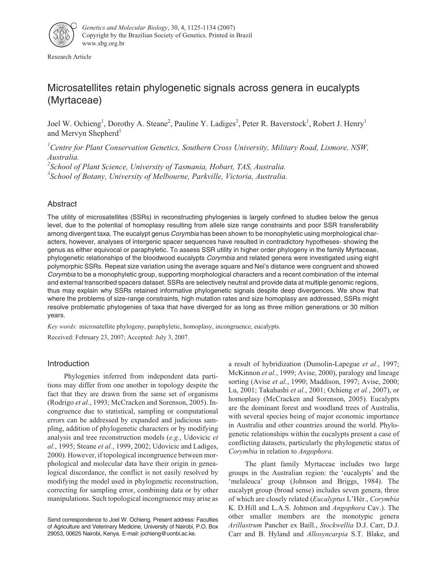

Research Article

# Microsatellites retain phylogenetic signals across genera in eucalypts (Myrtaceae)

Joel W. Ochieng<sup>1</sup>, Dorothy A. Steane<sup>2</sup>, Pauline Y. Ladiges<sup>3</sup>, Peter R. Baverstock<sup>1</sup>, Robert J. Henry<sup>1</sup> and Mervyn Shepherd<sup>1</sup>

*1 Centre for Plant Conservation Genetics, Southern Cross University, Military Road, Lismore, NSW, Australia.*

*2 School of Plant Science, University of Tasmania, Hobart, TAS, Australia. 3 School of Botany, University of Melbourne, Parkville, Victoria, Australia.*

# Abstract

The utility of microsatellites (SSRs) in reconstructing phylogenies is largely confined to studies below the genus level, due to the potential of homoplasy resulting from allele size range constraints and poor SSR transferability among divergent taxa. The eucalypt genus *Corymbia* has been shown to be monophyletic using morphological characters, however, analyses of intergenic spacer sequences have resulted in contradictory hypotheses- showing the genus as either equivocal or paraphyletic. To assess SSR utility in higher order phylogeny in the family Myrtaceae, phylogenetic relationships of the bloodwood eucalypts Corymbia and related genera were investigated using eight polymorphic SSRs. Repeat size variation using the average square and Nei's distance were congruent and showed Corymbia to be a monophyletic group, supporting morphological characters and a recent combination of the internal and external transcribed spacers dataset. SSRs are selectively neutral and provide data at multiple genomic regions, thus may explain why SSRs retained informative phylogenetic signals despite deep divergences. We show that where the problems of size-range constraints, high mutation rates and size homoplasy are addressed, SSRs might resolve problematic phylogenies of taxa that have diverged for as long as three million generations or 30 million years.

*Key words:* microsatellite phylogeny, paraphyletic, homoplasy, incongruence, eucalypts.

Received: February 23, 2007; Accepted: July 3, 2007.

# Introduction

Phylogenies inferred from independent data partitions may differ from one another in topology despite the fact that they are drawn from the same set of organisms (Rodrigo *et al.*, 1993; McCracken and Sorenson, 2005). Incongruence due to statistical, sampling or computational errors can be addressed by expanded and judicious sampling, addition of phylogenetic characters or by modifying analysis and tree reconstruction models (*e.g.*, Udovicic *et al.*, 1995; Steane *et al.*, 1999, 2002; Udovicic and Ladiges, 2000). However, if topological incongruence between morphological and molecular data have their origin in genealogical discordance, the conflict is not easily resolved by modifying the model used in phylogenetic reconstruction, correcting for sampling error, combining data or by other manipulations. Such topological incongruence may arise as

Send correspondence to Joel W. Ochieng. Present address: Faculties of Agriculture and Veterinary Medicine, University of Nairobi, P.O. Box 29053, 00625 Nairobi, Kenya. E-mail: jochieng@uonbi.ac.ke.

a result of hybridization (Dumolin-Lapegue *et al.*, 1997; McKinnon *et al.*, 1999; Avise, 2000), paralogy and lineage sorting (Avise *et al.*, 1990; Maddison, 1997; Avise, 2000; Lu, 2001; Takahashi *et al.*, 2001; Ochieng *et al.*, 2007), or homoplasy (McCracken and Sorenson, 2005). Eucalypts are the dominant forest and woodland trees of Australia, with several species being of major economic importance in Australia and other countries around the world. Phylogenetic relationships within the eucalypts present a case of conflicting datasets, particularly the phylogenetic status of *Corymbia* in relation to *Angophora*.

The plant family Myrtaceae includes two large groups in the Australian region: the 'eucalypts' and the 'melaleuca' group (Johnson and Briggs, 1984). The eucalypt group (broad sense) includes seven genera, three of which are closely related (*Eucalyptus* L'Hér., *Corymbia* K. D.Hill and L.A.S. Johnson and *Angophora* Cav.). The other smaller members are the monotypic genera *Arillastrum* Pancher ex Baill., *Stockwellia* D.J. Carr, D.J. Carr and B. Hyland and *Allosyncarpia* S.T. Blake, and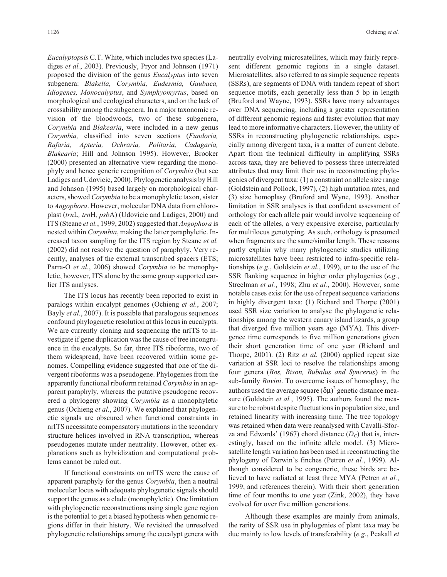*Eucalyptopsis* C.T. White, which includes two species (Ladiges *et al.*, 2003). Previously, Pryor and Johnson (1971) proposed the division of the genus *Eucalyptus* into seven subgenera: *Blakella, Corymbia, Eudesmia, Gaubaea, Idiogenes, Monocalyptus*, and *Symphyomyrtus*, based on morphological and ecological characters, and on the lack of crossability among the subgenera. In a major taxonomic revision of the bloodwoods, two of these subgenera, *Corymbia* and *Blakearia*, were included in a new genus *Corymbia,* classified into seven sections (*Fundoria, Rufaria, Apteria, Ochraria, Politaria, Cadagaria, Blakearia*; Hill and Johnson 1995). However, Brooker (2000) presented an alternative view regarding the monophyly and hence generic recognition of *Corymbia* (but see Ladiges and Udovicic, 2000). Phylogenetic analysis by Hill and Johnson (1995) based largely on morphological characters, showed *Corymbia* to be a monophyletic taxon, sister to *Angophora*. However, molecular DNA data from chloroplast (*trn*L*, trn*H*, psb*A) (Udovicic and Ladiges, 2000) and ITS (Steane *et al.*, 1999, 2002) suggested that *Angophora* is nested within *Corymbia*, making the latter paraphyletic. Increased taxon sampling for the ITS region by Steane *et al.* (2002) did not resolve the question of paraphyly. Very recently, analyses of the external transcribed spacers (ETS; Parra-O *et al.*, 2006) showed *Corymbia* to be monophyletic, however, ITS alone by the same group supported earlier ITS analyses.

The ITS locus has recently been reported to exist in paralogs within eucalypt genomes (Ochieng *et al.*, 2007; Bayly *et al.*, 2007). It is possible that paralogous sequences confound phylogenetic resolution at this locus in eucalypts. We are currently cloning and sequencing the nrITS to investigate if gene duplication was the cause of tree incongruence in the eucalypts. So far, three ITS riboforms, two of them widespread, have been recovered within some genomes. Compelling evidence suggested that one of the divergent riboforms was a pseudogene. Phylogenies from the apparently functional riboform retained *Corymbia* in an apparent paraphyly, whereas the putative pseudogene recovered a phylogeny showing *Corymbia* as a monophyletic genus (Ochieng *et al.*, 2007). We explained that phylogenetic signals are obscured when functional constraints in nrITS necessitate compensatory mutations in the secondary structure helices involved in RNA transcription, whereas pseudogenes mutate under neutrality. However, other explanations such as hybridization and computational problems cannot be ruled out.

If functional constraints on nrITS were the cause of apparent paraphyly for the genus *Corymbia*, then a neutral molecular locus with adequate phylogenetic signals should support the genus as a clade (monophyletic). One limitation with phylogenetic reconstructions using single gene region is the potential to get a biased hypothesis when genomic regions differ in their history. We revisited the unresolved phylogenetic relationships among the eucalypt genera with

neutrally evolving microsatellites, which may fairly represent different genomic regions in a single dataset. Microsatellites, also referred to as simple sequence repeats (SSRs), are segments of DNA with tandem repeat of short sequence motifs, each generally less than 5 bp in length (Bruford and Wayne, 1993). SSRs have many advantages over DNA sequencing, including a greater representation of different genomic regions and faster evolution that may lead to more informative characters. However, the utility of SSRs in reconstructing phylogenetic relationships, especially among divergent taxa, is a matter of current debate. Apart from the technical difficulty in amplifying SSRs across taxa, they are believed to possess three interrelated attributes that may limit their use in reconstructing phylogenies of divergent taxa: (1) a constraint on allele size range (Goldstein and Pollock, 1997), (2) high mutation rates, and (3) size homoplasy (Bruford and Wyne, 1993). Another limitation in SSR analyses is that confident assessment of orthology for each allele pair would involve sequencing of each of the alleles, a very expensive exercise, particularly for multilocus genotyping. As such, orthology is presumed when fragments are the same/similar length. These reasons partly explain why many phylogenetic studies utilizing microsatellites have been restricted to infra-specific relationships (*e.g.*, Goldstein *et al.*, 1999), or to the use of the SSR flanking sequence in higher order phylogenies (*e.g.*, Streelman *et al.*, 1998; Zhu *et al.*, 2000). However, some notable cases exist for the use of repeat sequence variations in highly divergent taxa: (1) Richard and Thorpe (2001) used SSR size variation to analyse the phylogenetic relationships among the western canary island lizards, a group that diverged five million years ago (MYA). This divergence time corresponds to five million generations given their short generation time of one year (Richard and Thorpe, 2001). (2) Ritz *et al.* (2000) applied repeat size variation at SSR loci to resolve the relationships among four genera (*Bos, Bison, Bubalus and Syncerus*) in the sub-family *Bovini*. To overcome issues of homoplasy, the authors used the average square  $(\delta \mu)^2$  genetic distance measure (Goldstein *et al.*, 1995). The authors found the measure to be robust despite fluctuations in population size, and retained linearity with increasing time. The tree topology was retained when data were reanalysed with Cavalli-Sforza and Edwards' (1967) chord distance  $(D<sub>C</sub>)$  that is, interestingly, based on the infinite allele model. (3) Microsatellite length variation has been used in reconstructing the phylogeny of Darwin's finches (Petren *et al.*, 1999). Although considered to be congeneric, these birds are believed to have radiated at least three MYA (Petren *et al.*, 1999, and references therein). With their short generation time of four months to one year (Zink, 2002), they have evolved for over five million generations.

Although these examples are mainly from animals, the rarity of SSR use in phylogenies of plant taxa may be due mainly to low levels of transferability (*e.g.*, Peakall *et*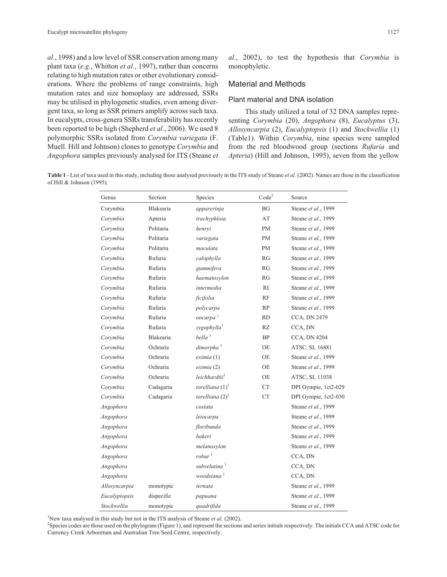*al.*, 1998) and a low level of SSR conservation among many plant taxa (*e.g.*, Whitton *et al.*, 1997), rather than concerns relating to high mutation rates or other evolutionary considerations. Where the problems of range constraints, high mutation rates and size homoplasy are addressed, SSRs may be utilised in phylogenetic studies, even among divergent taxa, so long as SSR primers amplify across such taxa. In eucalypts, cross-genera SSRs transferability has recently been reported to be high (Shepherd *et al.*, 2006). We used 8 polymorphic SSRs isolated from *Corymbia variegata* (F. Muell. Hill and Johnson) clones to genotype *Corymbia* and *Angophora* samples previously analysed for ITS (Steane *et* *al.*, 2002), to test the hypothesis that *Corymbia* is monophyletic.

# Material and Methods

### Plant material and DNA isolation

This study utilized a total of 32 DNA samples representing *Corymbia* (20), *Angophora* (8), *Eucalyptus* (3), *Allosyncarpia* (2), *Eucalyptopsis* (1) and *Stockwellia* (1) (Table1). Within *Corymbia*, nine species were sampled from the red bloodwood group (sections *Rufaria* and *Apteria*) (Hill and Johnson, 1995), seven from the yellow

**Table 1** - List of taxa used in this study, including those analysed previously in the ITS study of Steane *et al.* (2002). Names are those in the classification of Hill & Johnson (1995).

| Genus         | Section          | Species                   | $\mathrm{Code}^2$ | Source               |  |  |
|---------------|------------------|---------------------------|-------------------|----------------------|--|--|
| Corymbia      | <b>Blakearia</b> | apparerinja               | BGF               | Steane et al., 1999  |  |  |
| Corymbia      | Apteria          | trachyphloia              | AT                | Steane et al., 1999  |  |  |
| Corymbia      | Politaria        | henryi                    | <b>PM</b>         | Steane et al., 1999  |  |  |
| Corymbia      | Politaria        | variegata                 | <b>PM</b>         | Steane et al., 1999  |  |  |
| Corymbia      | Politaria        | maculata                  | <b>PM</b>         | Steane et al., 1999  |  |  |
| Corymbia      | Rufaria          | calophylla                | RG                | Steane et al., 1999  |  |  |
| Corymbia      | Rufaria          | gummifera                 | RG                | Steane et al., 1999  |  |  |
| Corymbia      | Rufaria          | haematoxylon              | RG                | Steane et al., 1999  |  |  |
| Corymbia      | Rufaria          | intermedia                | <b>RI</b>         | Steane et al., 1999  |  |  |
| Corymbia      | Rufaria          | ficifolia                 | RF                | Steane et al., 1999  |  |  |
| Corymbia      | Rufaria          | polycarpa                 | RP                | Steane et al., 1999  |  |  |
| Corymbia      | Rufaria          | oocarpa <sup>1</sup>      | <b>RD</b>         | <b>CCA, DN 2479</b>  |  |  |
| Corymbia      | Rufaria          | zygophylla <sup>1</sup>   | <b>RZ</b>         | CCA, DN              |  |  |
| Corymbia      | <b>Blakearia</b> | bella <sup>1</sup>        | <b>BP</b>         | <b>CCA, DN 4204</b>  |  |  |
| Corymbia      | Ochraria         | dimorpha <sup>1</sup>     | OE                | ATSC, SL 16881       |  |  |
| Corymbia      | Ochraria         | eximia(1)                 | OE                | Steane et al., 1999  |  |  |
| Corymbia      | Ochraria         | eximia(2)                 | OE                | Steane et al., 1999  |  |  |
| Corymbia      | Ochraria         | leichhardtii <sup>1</sup> | OE                | ATSC, SL 11038       |  |  |
| Corymbia      | Cadagaria        | torelliana $(1)^1$        | <b>CT</b>         | DPI Gympie, 1ct2-029 |  |  |
| Corymbia      | Cadagaria        | torelliana $(2)^1$        | <b>CT</b>         | DPI Gympie, 1ct2-030 |  |  |
| Angophora     |                  | costata                   |                   | Steane et al., 1999  |  |  |
| Angophora     |                  | leiocarpa                 |                   | Steane et al., 1999  |  |  |
| Angophora     |                  | floribunda                |                   | Steane et al., 1999  |  |  |
| Angophora     |                  | hakeri                    |                   | Steane et al., 1999  |  |  |
| Angophora     |                  | melanoxylon               |                   | Steane et al., 1999  |  |  |
| Angophora     |                  | robur <sup>1</sup>        |                   | CCA, DN              |  |  |
| Angophora     |                  | subveluting $\frac{1}{2}$ |                   | CCA, DN              |  |  |
| Angophora     |                  | woodsiana <sup>1</sup>    |                   | CCA, DN              |  |  |
| Allosyncarpia | monotypic        | ternata                   |                   | Steane et al., 1999  |  |  |
| Eucalyptopsis | dispecific       | papuana                   |                   | Steane et al., 1999  |  |  |
| Stockwellia   | monotypic        | quadrifida                |                   | Steane et al., 1999  |  |  |

<sup>1</sup>New taxa analysed in this study but not in the ITS analysis of Steane *et al.* (2002).

<sup>2</sup>Species codes are those used on the phylogram (Figure 1), and represent the sections and series initials respectively. The initials CCA and ATSC code for Currency Creek Arboretum and Australian Tree Seed Centre, respectively.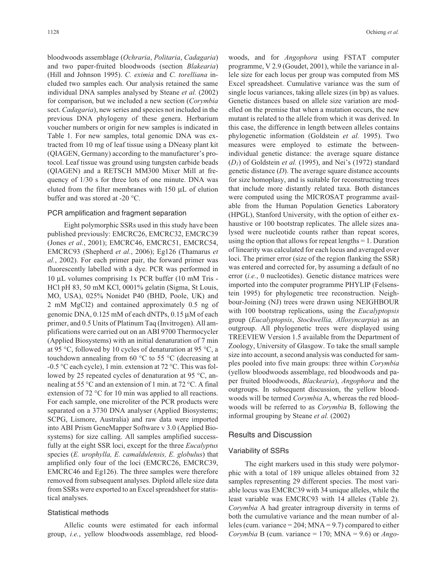bloodwoods assemblage (*Ochraria*, *Politaria*, *Cadagaria*) and two paper-fruited bloodwoods (section *Blakearia*) (Hill and Johnson 1995). *C. eximia* and *C. torelliana* included two samples each. Our analysis retained the same individual DNA samples analysed by Steane *et al.* (2002) for comparison, but we included a new section (*Corymbia* sect. *Cadagaria*), new series and species not included in the previous DNA phylogeny of these genera. Herbarium voucher numbers or origin for new samples is indicated in Table 1. For new samples, total genomic DNA was extracted from 10 mg of leaf tissue using a DNeasy plant kit (QIAGEN, Germany) according to the manufacturer's protocol. Leaf tissue was ground using tungsten carbide beads (QIAGEN) and a RETSCH MM300 Mixer Mill at frequency of 1/30 s for three lots of one minute. DNA was eluted from the filter membranes with 150 μL of elution buffer and was stored at -20 °C.

#### PCR amplification and fragment separation

Eight polymorphic SSRs used in this study have been published previously: EMCRC26, EMCRC32, EMCRC39 (Jones *et al.*, 2001); EMCRC46, EMCRC51, EMCRC54, EMCRC93 (Shepherd *et al.*, 2006); Eg126 (Thamarus *et al.*, 2002). For each primer pair, the forward primer was fluorescently labelled with a dye. PCR was performed in 10 μL volumes comprising 1x PCR buffer (10 mM Tris - HCl pH 83, 50 mM KCl, 0001% gelatin (Sigma, St Louis, MO, USA), 025% Nonidet P40 (BHD, Poole, UK) and 2 mM MgCl2) and contained approximately 0.5 ng of genomic DNA, 0.125 mM of each dNTPs, 0.15 μM of each primer, and 0.5 Units of Platinum Taq (Invitrogen). All amplifications were carried out on an ABI 9700 Thermocycler (Applied Biosystems) with an initial denaturation of 7 min at 95 °C, followed by 10 cycles of denaturation at 95 °C, a touchdown annealing from 60  $\degree$ C to 55  $\degree$ C (decreasing at -0.5 °C each cycle), 1 min. extension at 72 °C. This was followed by 25 repeated cycles of denaturation at 95 °C, annealing at 55 °C and an extension of 1 min. at 72 °C. A final extension of 72 °C for 10 min was applied to all reactions. For each sample, one microliter of the PCR products were separated on a 3730 DNA analyser (Applied Biosystems; SCPG, Lismore, Australia) and raw data were imported into ABI Prism GeneMapper Software v 3.0 (Applied Biosystems) for size calling. All samples amplified successfully at the eight SSR loci, except for the three *Eucalyptus* species (*E. urophylla, E. camaldulensis, E. globulus*) that amplified only four of the loci (EMCRC26, EMCRC39, EMCRC46 and Eg126). The three samples were therefore removed from subsequent analyses. Diploid allele size data from SSRs were exported to an Excel spreadsheet for statistical analyses.

### Statistical methods

Allelic counts were estimated for each informal group, *i.e.*, yellow bloodwoods assemblage, red bloodwoods, and for *Angophora* using FSTAT computer programme, V 2.9 (Goudet, 2001), while the variance in allele size for each locus per group was computed from MS Excel spreadsheet. Cumulative variance was the sum of single locus variances, taking allele sizes (in bp) as values. Genetic distances based on allele size variation are modelled on the premise that when a mutation occurs, the new mutant is related to the allele from which it was derived. In this case, the difference in length between alleles contains phylogenetic information (Goldstein *et al.* 1995). Two measures were employed to estimate the betweenindividual genetic distance: the average square distance (*D1*) of Goldstein *et al.* (1995), and Nei's (1972) standard genetic distance (*D*). The average square distance accounts for size homoplasy, and is suitable for reconstructing trees that include more distantly related taxa. Both distances were computed using the MICROSAT programme available from the Human Population Genetics Laboratory (HPGL), Stanford University, with the option of either exhaustive or 100 bootstrap replicates. The allele sizes analysed were nucleotide counts rather than repeat scores, using the option that allows for repeat lengths = 1. Duration of linearity was calculated for each locus and averaged over loci. The primer error (size of the region flanking the SSR) was entered and corrected for, by assuming a default of no error (*i.e.*, 0 nucleotides). Genetic distance matrices were imported into the computer programme PHYLIP (Felsenstein 1995) for phylogenetic tree reconstruction. Neighbour-Joining (NJ) trees were drawn using NEIGHBOUR with 100 bootstrap replications, using the *Eucalyptopsis* group (*Eucalyptopsis*, *Stockwellia, Allosyncarpia*) as an outgroup. All phylogenetic trees were displayed using TREEVIEW Version 1.5 available from the Department of Zoology, University of Glasgow. To take the small sample size into account, a second analysis was conducted for samples pooled into five main groups: three within *Corymbia* (yellow bloodwoods assemblage, red bloodwoods and paper fruited bloodwoods, *Blackearia*), *Angophora* and the outgroups. In subsequent discussion, the yellow bloodwoods will be termed *Corymbia* A, whereas the red bloodwoods will be referred to as *Corymbia* B, following the informal grouping by Steane *et al.* (2002)

### Results and Discussion

### Variability of SSRs

The eight markers used in this study were polymorphic with a total of 189 unique alleles obtained from 32 samples representing 29 different species. The most variable locus was EMCRC39 with 34 unique alleles, while the least variable was EMCRC93 with 14 alleles (Table 2). *Corymbia* A had greater intragroup diversity in terms of both the cumulative variance and the mean number of alleles (cum. variance = 204;  $MNA = 9.7$ ) compared to either *Corymbia* B (cum. variance = 170; MNA = 9.6) or *Ango-*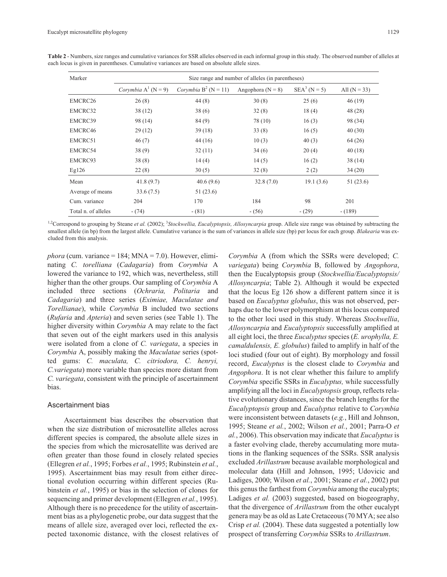| Marker              | Size range and number of alleles (in parentheses) |                         |                       |                |                |  |  |
|---------------------|---------------------------------------------------|-------------------------|-----------------------|----------------|----------------|--|--|
|                     | Corymbia $A^1$ (N = 9)                            | Corymbia $B^2$ (N = 11) | Angophora ( $N = 8$ ) | $SEA3$ (N = 5) | All $(N = 33)$ |  |  |
| EMCRC26             | 26(8)                                             | 44(8)                   | 30(8)                 | 25(6)          | 46(19)         |  |  |
| EMCRC32             | 38(12)                                            | 38(6)                   | 32(8)                 | 18(4)          | 48 (28)        |  |  |
| EMCRC39             | 98 (14)                                           | 84 (9)                  | 78 (10)               | 16(3)          | 98 (34)        |  |  |
| EMCRC46             | 29(12)                                            | 39(18)                  | 33(8)                 | 16(5)          | 40(30)         |  |  |
| EMCRC51             | 46(7)                                             | 44 (16)                 | 10(3)                 | 40(3)          | 64 (26)        |  |  |
| EMCRC54             | 38(9)                                             | 32(11)                  | 34(6)                 | 20(4)          | 40(18)         |  |  |
| EMCRC93             | 38(8)                                             | 14(4)                   | 14(5)                 | 16(2)          | 38(14)         |  |  |
| Eg126               | 22(8)                                             | 30(5)                   | 32(8)                 | 2(2)           | 34(20)         |  |  |
| Mean                | 41.8(9.7)                                         | 40.6(9.6)               | 32.8(7.0)             | 19.1(3.6)      | 51 (23.6)      |  |  |
| Average of means    | 33.6(7.5)                                         | 51 (23.6)               |                       |                |                |  |  |
| Cum. variance       | 204                                               | 170                     | 184                   | 98             | 201            |  |  |
| Total n. of alleles | $-(74)$                                           | $-(81)$                 | $-(56)$               | $-(29)$        | $-(189)$       |  |  |

<sup>1,2</sup>Correspond to grouping by Steane *et al.* (2002); <sup>3</sup>Stockwellia, Eucalyptopsis, Allosyncarpia group. Allele size range was obtained by subtracting the smallest allele (in bp) from the largest allele. Cumulative variance is the sum of variances in allele size (bp) per locus for each group. *Blakearia* was excluded from this analysis.

 $phora$  (cum. variance = 184;  $MNA = 7.0$ ). However, eliminating *C. torelliana* (*Cadagaria*) from *Corymbia* A lowered the variance to 192, which was, nevertheless, still higher than the other groups. Our sampling of *Corymbia* A included three sections (*Ochraria, Politaria* and *Cadagaria*) and three series (*Eximiae, Maculatae and Torellianae*), while *Corymbia* B included two sections (*Rufaria* and *Apteria*) and seven series (see Table 1). The higher diversity within *Corymbia* A may relate to the fact that seven out of the eight markers used in this analysis were isolated from a clone of *C. variegata*, a species in *Corymbia* A, possibly making the *Maculatae* series (spotted gums: *C. maculata, C. citriodora, C. henryi, C.variegata*) more variable than species more distant from *C. variegata*, consistent with the principle of ascertainment bias.

## Ascertainment bias

Ascertainment bias describes the observation that when the size distribution of microsatellite alleles across different species is compared, the absolute allele sizes in the species from which the microsatellite was derived are often greater than those found in closely related species (Ellegren *et al.*, 1995; Forbes *et al.*, 1995; Rubinstein *et al.*, 1995). Ascertainment bias may result from either directional evolution occurring within different species (Rubinstein *et al.*, 1995) or bias in the selection of clones for sequencing and primer development (Ellegren *et al.*, 1995). Although there is no precedence for the utility of ascertainment bias as a phylogenetic probe, our data suggest that the means of allele size, averaged over loci, reflected the expected taxonomic distance, with the closest relatives of *Corymbia* A (from which the SSRs were developed; *C. variegata*) being *Corymbia* B, followed by *Angophora*, then the Eucalyptopsis group (*Stockwellia/Eucalyptopsis/ Allosyncarpia*; Table 2). Although it would be expected that the locus Eg 126 show a different pattern since it is based on *Eucalyptus globulus*, this was not observed, perhaps due to the lower polymorphism at this locus compared to the other loci used in this study. Whereas *Stockwellia*, *Allosyncarpia* and *Eucalyptopsis* successfully amplified at all eight loci, the three *Eucalyptus* species (*E. urophylla, E. camaldulensis, E. globulus*) failed to amplify in half of the loci studied (four out of eight). By morphology and fossil record, *Eucalyptus* is the closest clade to *Corymbia* and *Angophora*. It is not clear whether this failure to amplify *Corymbia* specific SSRs in *Eucalyptus,* while successfully amplifying all the loci in *Eucalyptopsis* group, reflects relative evolutionary distances, since the branch lengths for the *Eucalyptopsis* group and *Eucalyptus* relative to *Corymbia* were inconsistent between datasets (*e.g.*, Hill and Johnson, 1995; Steane *et al.*, 2002; Wilson *et al.*, 2001; Parra-O *et al.*, 2006). This observation may indicate that *Eucalyptus* is a faster evolving clade, thereby accumulating more mutations in the flanking sequences of the SSRs. SSR analysis excluded *Arillastrum* because available morphological and molecular data (Hill and Johnson, 1995; Udovicic and Ladiges, 2000; Wilson *et al.*, 2001; Steane *et al.*, 2002) put this genus the farthest from *Corymbia* among the eucalypts; Ladiges *et al.* (2003) suggested, based on biogeography, that the divergence of *Arillastrum* from the other eucalypt genera may be as old as Late Cretaceous (70 MYA; see also Crisp *et al.* (2004). These data suggested a potentially low prospect of transferring *Corymbia* SSRs to *Arillastrum*.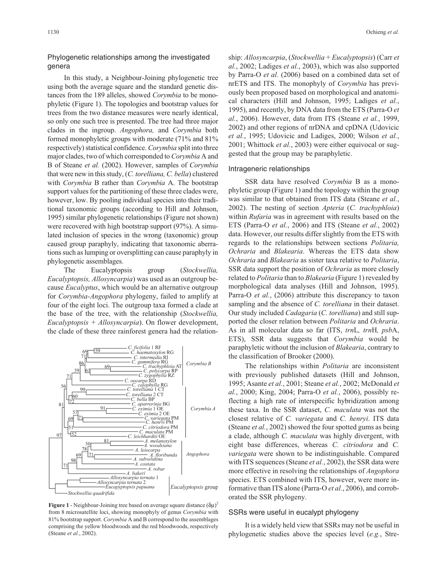# Phylogenetic relationships among the investigated genera

In this study, a Neighbour-Joining phylogenetic tree using both the average square and the standard genetic distances from the 189 alleles, showed *Corymbia* to be monophyletic (Figure 1). The topologies and bootstrap values for trees from the two distance measures were nearly identical, so only one such tree is presented. The tree had three major clades in the ingroup. *Angophora,* and *Corymbia* both formed monophyletic groups with moderate (71% and 81% respectively) statistical confidence. *Corymbia* split into three major clades, two of which corresponded to *Corymbia* A and B of Steane *et al.* (2002). However, samples of *Corymbia* that were new in this study, (*C. torelliana, C. bella*) clustered with *Corymbia* B rather than *Corymbia* A. The bootstrap support values for the partitioning of these three clades were, however, low. By pooling individual species into their traditional taxonomic groups (according to Hill and Johnson, 1995) similar phylogenetic relationships (Figure not shown) were recovered with high bootstrap support (97%). A simulated inclusion of species in the wrong (taxonomic) group caused group paraphyly, indicating that taxonomic aberrations such as lumping or oversplitting can cause paraphyly in phylogenetic assemblages.

The Eucalyptopsis group (*Stockwellia, Eucalyptopsis, Allosyncarpia*) was used as an outgroup because *Eucalyptus*, which would be an alternative outgroup for *Corymbia-Angophora* phylogeny, failed to amplify at four of the eight loci. The outgroup taxa formed a clade at the base of the tree, with the relationship (*Stockwellia, Eucalyptopsis + Allosyncarpia*). On flower development, the clade of these three rainforest genera had the relation-



**Figure 1** - Neighbour-Joining tree based on average square distance  $(\delta \mu)^2$ <br>from 8 microsatellite loci, showing monophyly of genus *Corymbia* with from 8 microsatellite loci, showing monophyly of genus *Corymbia* with 81% bootstrap support. *Corymbia* A and B correspond to the assemblages comprising the yellow bloodwoods and the red bloodwoods, respectively (Steane *et al.*, 2002).

ship: *Allosyncarpia*, (*Stockwellia* + *Eucalyptopsis*) (Carr *et al.*, 2002; Ladiges *et al.*, 2003), which was also supported by Parra-O *et al.* (2006) based on a combined data set of nrETS and ITS. The monophyly of *Corymbia* has previously been proposed based on morphological and anatomical characters (Hill and Johnson, 1995; Ladiges *et al.*, 1995), and recently, by DNA data from the ETS (Parra-O *et al.*, 2006). However, data from ITS (Steane *et al.*, 1999, 2002) and other regions of nrDNA and cpDNA (Udovicic *et al.*, 1995; Udovicic and Ladiges, 2000; Wilson *et al.*, 2001; Whittock *et al.*, 2003) were either equivocal or suggested that the group may be paraphyletic.

### Intrageneric relationships

SSR data have resolved *Corymbia* B as a monophyletic group (Figure 1) and the topology within the group was similar to that obtained from ITS data (Steane *et al.*, 2002). The nesting of section *Apteria* (*C. trachyphloia*) within *Rufaria* was in agreement with results based on the ETS (Parra-O *et al.*, 2006) and ITS (Steane *et al.*, 2002) data. However, our results differ slightly from the ETS with regards to the relationships between sections *Politaria, Ochraria* and *Blakearia*. Whereas the ETS data show *Ochraria* and *Blakearia* as sister taxa relative to *Politaria*, SSR data support the position of *Ochraria* as more closely related to *Politaria* than to *Blakearia* (Figure 1) revealed by morphological data analyses (Hill and Johnson, 1995). Parra-O *et al.*, (2006) attribute this discrepancy to taxon sampling and the absence of *C. torelliana* in their dataset. Our study included *Cadagaria* (*C. torelliana*) and still supported the closer relation between *Politaria* and *Ochraria*. As in all molecular data so far (ITS, *trn*L*, trn*H*, psb*A, ETS), SSR data suggests that *Corymbia* would be paraphyletic without the inclusion of *Blakearia*, contrary to the classification of Brooker (2000).

The relationships within *Politaria* are inconsistent with previously published datasets (Hill and Johnson, 1995; Asante *et al.*, 2001; Steane *et al.*, 2002; McDonald *et al.*, 2000; King, 2004; Parra-O *et al.*, 2006), possibly reflecting a high rate of interspecific hybridization among these taxa. In the SSR dataset, *C. maculata* was not the closest relative of *C. variegata* and *C. henryi*. ITS data (Steane *et al.*, 2002) showed the four spotted gums as being a clade, although *C. maculata* was highly divergent, with eight base differences, whereas *C. citriodora* and *C. variegata* were shown to be indistinguishable. Compared with ITS sequences (Steane *et al.*, 2002), the SSR data were more effective in resolving the relationships of *Angophora* species. ETS combined with ITS, however, were more informative than ITS alone (Parra-O *et al.*, 2006), and corroborated the SSR phylogeny.

### SSRs were useful in eucalypt phylogeny

It is a widely held view that SSRs may not be useful in phylogenetic studies above the species level (*e.g.*, Stre-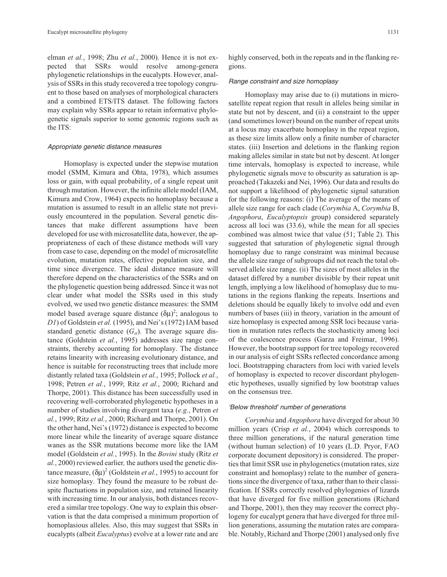elman *et al.*, 1998; Zhu *et al.*, 2000). Hence it is not expected that SSRs would resolve among-genera phylogenetic relationships in the eucalypts. However, analysis of SSRs in this study recovered a tree topology congruent to those based on analyses of morphological characters and a combined ETS/ITS dataset. The following factors may explain why SSRs appear to retain informative phylogenetic signals superior to some genomic regions such as the ITS:

#### Appropriate genetic distance measures

Homoplasy is expected under the stepwise mutation model (SMM, Kimura and Ohta, 1978), which assumes loss or gain, with equal probability, of a single repeat unit through mutation. However, the infinite allele model (IAM, Kimura and Crow, 1964) expects no homoplasy because a mutation is assumed to result in an allelic state not previously encountered in the population. Several genetic distances that make different assumptions have been developed for use with microsatellite data, however, the appropriateness of each of these distance methods will vary from case to case, depending on the model of microsatellite evolution, mutation rates, effective population size, and time since divergence. The ideal distance measure will therefore depend on the characteristics of the SSRs and on the phylogenetic question being addressed. Since it was not clear under what model the SSRs used in this study evolved, we used two genetic distance measures: the SMM model based average square distance  $(\delta \mu)^2$ ; analogous to *D1*) of Goldstein *et al.* (1995), and Nei's (1972) IAM based standard genetic distance  $(G_{st})$ . The average square distance (Goldstein *et al.*, 1995) addresses size range constraints, thereby accounting for homoplasy. The distance retains linearity with increasing evolutionary distance, and hence is suitable for reconstructing trees that include more distantly related taxa (Goldstein *et al.*, 1995; Pollock *et al.*, 1998; Petren *et al.*, 1999; Ritz *et al.*, 2000; Richard and Thorpe, 2001). This distance has been successfully used in recovering well-corroborated phylogenetic hypotheses in a number of studies involving divergent taxa (*e.g.*, Petren *et al.*, 1999; Ritz *et al.*, 2000; Richard and Thorpe, 2001). On the other hand, Nei's (1972) distance is expected to become more linear while the linearity of average square distance wanes as the SSR mutations become more like the IAM model (Goldstein *et al.*, 1995). In the *Bovini* study (Ritz *et al.*, 2000) reviewed earlier*,* the authors used the genetic distance measure,  $(\delta \mu)^2$  (Goldstein *et al.*, 1995) to account for size homoplasy. They found the measure to be robust despite fluctuations in population size, and retained linearity with increasing time. In our analysis, both distances recovered a similar tree topology. One way to explain this observation is that the data comprised a minimum proportion of homoplasious alleles. Also, this may suggest that SSRs in eucalypts (albeit *Eucalyptus*) evolve at a lower rate and are

highly conserved, both in the repeats and in the flanking regions.

#### Range constraint and size homoplasy

Homoplasy may arise due to (i) mutations in microsatellite repeat region that result in alleles being similar in state but not by descent, and (ii) a constraint to the upper (and sometimes lower) bound on the number of repeat units at a locus may exacerbate homoplasy in the repeat region, as these size limits allow only a finite number of character states. (iii) Insertion and deletions in the flanking region making alleles similar in state but not by descent. At longer time intervals, homoplasy is expected to increase, while phylogenetic signals move to obscurity as saturation is approached (Takazeki and Nei, 1996). Our data and results do not support a likelihood of phylogenetic signal saturation for the following reasons: (i) The average of the means of allele size range for each clade (*Corymbia* A, *Corymbia* B, *Angophora*, *Eucalyptopsis* group) considered separately across all loci was (33.6), while the mean for all species combined was almost twice that value (51; Table 2). This suggested that saturation of phylogenetic signal through homoplasy due to range constraint was minimal because the allele size range of subgroups did not reach the total observed allele size range. (ii) The sizes of most alleles in the dataset differed by a number divisible by their repeat unit length, implying a low likelihood of homoplasy due to mutations in the regions flanking the repeats. Insertions and deletions should be equally likely to involve odd and even numbers of bases (iii) in theory, variation in the amount of size homoplasy is expected among SSR loci because variation in mutation rates reflects the stochasticity among loci of the coalescence process (Garza and Freimar, 1996). However, the bootstrap support for tree topology recovered in our analysis of eight SSRs reflected concordance among loci. Bootstrapping characters from loci with varied levels of homoplasy is expected to recover discordant phylogenetic hypotheses, usually signified by low bootstrap values on the consensus tree.

#### 'Below threshold' number of generations

*Corymbia* and *Angophora* have diverged for about 30 million years (Crisp *et al.*, 2004) which corresponds to three million generations, if the natural generation time (without human selection) of 10 years (L.D. Pryor, FAO corporate document depository) is considered. The properties that limit SSR use in phylogenetics (mutation rates, size constraint and homoplasy) relate to the number of generations since the divergence of taxa, rather than to their classification. If SSRs correctly resolved phylogenies of lizards that have diverged for five million generations (Richard and Thorpe, 2001), then they may recover the correct phylogeny for eucalypt genera that have diverged for three million generations, assuming the mutation rates are comparable. Notably, Richard and Thorpe (2001) analysed only five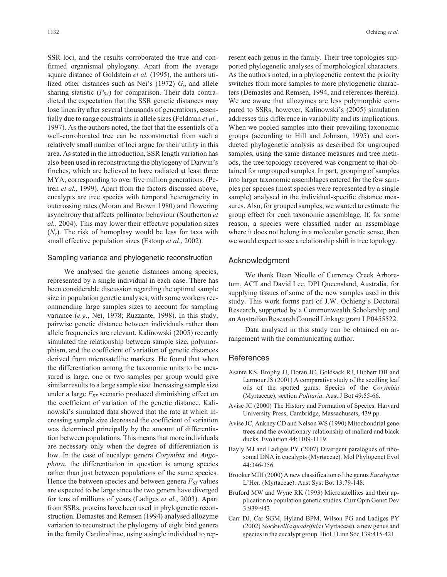SSR loci, and the results corroborated the true and confirmed organismal phylogeny. Apart from the average square distance of Goldstein *et al.* (1995), the authors utilized other distances such as Nei's  $(1972)$   $G<sub>st</sub>$  and allele sharing statistic  $(P_{SA})$  for comparison. Their data contradicted the expectation that the SSR genetic distances may lose linearity after several thousands of generations, essentially due to range constraints in allele sizes (Feldman *et al.*, 1997). As the authors noted, the fact that the essentials of a well-corroborated tree can be reconstructed from such a relatively small number of loci argue for their utility in this area. As stated in the introduction, SSR length variation has also been used in reconstructing the phylogeny of Darwin's finches, which are believed to have radiated at least three MYA, corresponding to over five million generations. (Petren *et al.*, 1999). Apart from the factors discussed above, eucalypts are tree species with temporal heterogeneity in outcrossing rates (Moran and Brown 1980) and flowering asynchrony that affects pollinator behaviour (Southerton *et al.*, 2004). This may lower their effective population sizes (*Ne*). The risk of homoplasy would be less for taxa with small effective population sizes (Estoup *et al.*, 2002).

### Sampling variance and phylogenetic reconstruction

We analysed the genetic distances among species, represented by a single individual in each case. There has been considerable discussion regarding the optimal sample size in population genetic analyses, with some workers recommending large samples sizes to account for sampling variance (*e.g.*, Nei, 1978; Ruzzante, 1998). In this study, pairwise genetic distance between individuals rather than allele frequencies are relevant. Kalinowski (2005) recently simulated the relationship between sample size, polymorphism, and the coefficient of variation of genetic distances derived from microsatellite markers. He found that when the differentiation among the taxonomic units to be measured is large, one or two samples per group would give similar results to a large sample size. Increasing sample size under a large  $F_{ST}$  scenario produced diminishing effect on the coefficient of variation of the genetic distance. Kalinowski's simulated data showed that the rate at which increasing sample size decreased the coefficient of variation was determined principally by the amount of differentiation between populations. This means that more individuals are necessary only when the degree of differentiation is low. In the case of eucalypt genera *Corymbia* and *Angophora*, the differentiation in question is among species rather than just between populations of the same species. Hence the between species and between genera  $F_{ST}$  values are expected to be large since the two genera have diverged for tens of millions of years (Ladiges *et al.*, 2003). Apart from SSRs, proteins have been used in phylogenetic reconstruction. Demastes and Remsen (1994) analysed allozyme variation to reconstruct the phylogeny of eight bird genera in the family Cardinalinae, using a single individual to rep-

1132 Ochieng *et al.*

resent each genus in the family. Their tree topologies supported phylogenetic analyses of morphological characters. As the authors noted, in a phylogenetic context the priority switches from more samples to more phylogenetic characters (Demastes and Remsen, 1994, and references therein). We are aware that allozymes are less polymorphic compared to SSRs, however, Kalinowski's (2005) simulation addresses this difference in variability and its implications. When we pooled samples into their prevailing taxonomic groups (according to Hill and Johnson, 1995) and conducted phylogenetic analysis as described for ungrouped samples, using the same distance measures and tree methods, the tree topology recovered was congruent to that obtained for ungrouped samples. In part, grouping of samples into larger taxonomic assemblages catered for the few samples per species (most species were represented by a single sample) analysed in the individual-specific distance measures. Also, for grouped samples, we wanted to estimate the group effect for each taxonomic assemblage. If, for some reason, a species were classified under an assemblage where it does not belong in a molecular genetic sense, then we would expect to see a relationship shift in tree topology.

### Acknowledgment

We thank Dean Nicolle of Currency Creek Arboretum, ACT and David Lee, DPI Queensland, Australia, for supplying tissues of some of the new samples used in this study. This work forms part of J.W. Ochieng's Doctoral Research, supported by a Commonwealth Scholarship and an Australian Research Council Linkage grant LP0455522.

Data analysed in this study can be obtained on arrangement with the communicating author.

### **References**

- Asante KS, Brophy JJ, Doran JC, Goldsack RJ, Hibbert DB and Larmour JS (2001) A comparative study of the seedling leaf oils of the spotted gums: Species of the *Corymbia* (Myrtaceae), section *Politaria*. Aust J Bot 49:55-66.
- Avise JC (2000) The History and Formation of Species. Harvard University Press, Cambridge, Massachusets, 439 pp.
- Avise JC, Ankney CD and Nelson WS (1990) Mitochondrial gene trees and the evolutionary relationship of mallard and black ducks. Evolution 44:1109-1119.
- Bayly MJ and Ladiges PY (2007) Divergent paralogues of ribosomal DNA in eucalypts (Myrtaceae). Mol Phylogenet Evol 44:346-356.
- Brooker MIH (2000) A new classification of the genus *Eucalyptus* L'Her. (Myrtaceae). Aust Syst Bot 13:79-148.
- Bruford MW and Wyne RK (1993) Microsatellites and their application to population genetic studies. Curr Opin Genet Dev 3:939-943.
- Carr DJ, Car SGM, Hyland BPM, Wilson PG and Ladiges PY (2002) *Stockwellia quadrifida* (Myrtaceae), a new genus and species in the eucalypt group. Biol J Linn Soc 139:415-421.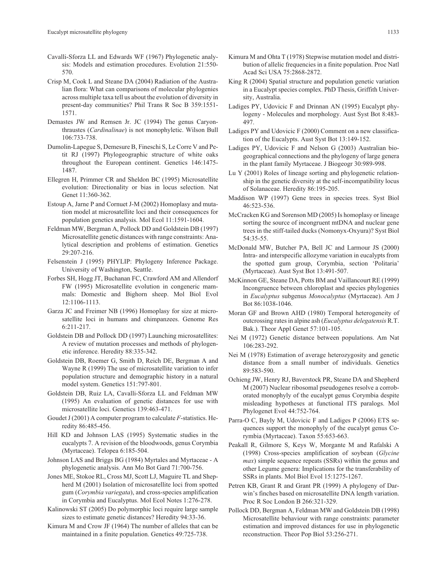- Cavalli-Sforza LL and Edwards WF (1967) Phylogenetic analysis: Models and estimation procedures. Evolution 21:550- 570.
- Crisp M, Cook L and Steane DA (2004) Radiation of the Australian flora: What can comparisons of molecular phylogenies across multiple taxa tell us about the evolution of diversity in present-day communities? Phil Trans R Soc B 359:1551- 1571.
- Demastes JW and Remsen Jr. JC (1994) The genus Caryonthraustes (*Cardinalinae*) is not monophyletic. Wilson Bull 106:733-738.
- Dumolin-Lapegue S, Demesure B, Fineschi S, Le Corre V and Petit RJ (1997) Phylogeographic structure of white oaks throughout the European continent. Genetics 146:1475- 1487.
- Ellegren H, Primmer CR and Sheldon BC (1995) Microsatellite evolution: Directionality or bias in locus selection. Nat Genet 11:360-362.
- Estoup A, Jarne P and Cornuet J-M (2002) Homoplasy and mutation model at microsatellite loci and their consequences for population genetics analysis. Mol Ecol 11:1591-1604.
- Feldman MW, Bergman A, Pollock DD and Goldstein DB (1997) Microsatellite genetic distances with range constraints: Analytical description and problems of estimation. Genetics 29:207-216.
- Felsenstein J (1995) PHYLIP: Phylogeny Inference Package. University of Washington, Seattle.
- Forbes SH, Hogg JT, Buchanan FC, Crawford AM and Allendorf FW (1995) Microsatellite evolution in congeneric mammals: Domestic and Bighorn sheep. Mol Biol Evol 12:1106-1113.
- Garza JC and Freimer NB (1996) Homoplasy for size at microsatellite loci in humans and chimpanzees. Genome Res 6:211-217.
- Goldstein DB and Pollock DD (1997) Launching microsatellites: A review of mutation processes and methods of phylogenetic inference. Heredity 88:335-342.
- Goldstein DB, Roemer G, Smith D, Reich DE, Bergman A and Wayne R (1999) The use of microsatellite variation to infer population structure and demographic history in a natural model system. Genetics 151:797-801.
- Goldstein DB, Ruiz LA, Cavalli-Sforza LL and Feldman MW (1995) An evaluation of genetic distances for use with microsatellite loci. Genetics 139:463-471.
- Goudet J (2001) A computer program to calculate *F*-statistics. Heredity 86:485-456.
- Hill KD and Johnson LAS (1995) Systematic studies in the eucalypts 7. A revision of the bloodwoods, genus Corymbia (Myrtaceae). Telopea 6:185-504.
- Johnson LAS and Briggs BG (1984) Myrtales and Myrtaceae A phylogenetic analysis. Ann Mo Bot Gard 71:700-756.
- Jones ME, Stokoe RL, Cross MJ, Scott LJ, Maguire TL and Shepherd M (2001) Isolation of microsatellite loci from spotted gum (*Corymbia variegata*), and cross-species amplification in Corymbia and Eucalyptus. Mol Ecol Notes 1:276-278.
- Kalinowski ST (2005) Do polymorphic loci require large sample sizes to estimate genetic distances? Heredity 94:33-36.
- Kimura M and Crow JF (1964) The number of alleles that can be maintained in a finite population. Genetics 49:725-738.
- Kimura M and Ohta T (1978) Stepwise mutation model and distribution of allelic frequencies in a finite population. Proc Natl Acad Sci USA 75:2868-2872.
- King R (2004) Spatial structure and population genetic variation in a Eucalypt species complex. PhD Thesis, Griffith University, Australia.
- Ladiges PY, Udovicic F and Drinnan AN (1995) Eucalypt phylogeny - Molecules and morphology. Aust Syst Bot 8:483- 497.
- Ladiges PY and Udovicic F (2000) Comment on a new classification of the Eucalypts. Aust Syst Bot 13:149-152.
- Ladiges PY, Udovicic F and Nelson G (2003) Australian biogeographical connections and the phylogeny of large genera in the plant family Myrtaceae. J Biogeogr 30:989-998.
- Lu Y (2001) Roles of lineage sorting and phylogenetic relationship in the genetic diversity at the self-incompatibility locus of Solanaceae. Heredity 86:195-205.
- Maddison WP (1997) Gene trees in species trees. Syst Biol 46:523-536.
- McCracken KG and Sorenson MD (2005) Is homoplasy or lineage sorting the source of incongruent mtDNA and nuclear gene trees in the stiff-tailed ducks (Nomonyx-Oxyura)? Syst Biol 54:35-55.
- McDonald MW, Butcher PA, Bell JC and Larmour JS (2000) Intra- and interspecific allozyme variation in eucalypts from the spotted gum group, Corymbia, section 'Politaria' (Myrtaceae). Aust Syst Bot 13:491-507.
- McKinnon GE, Steane DA, Potts BM and Vaillancourt RE (1999) Incongruence between chloroplast and species phylogenies in *Eucalyptus* subgenus *Monocalyptus* (Myrtaceae). Am J Bot 86:1038-1046.
- Moran GF and Brown AHD (1980) Temporal heterogeneity of outcrossing rates in alpine ash (*Eucalyptus delegatensis* R.T. Bak.). Theor Appl Genet 57:101-105.
- Nei M (1972) Genetic distance between populations. Am Nat 106:283-292.
- Nei M (1978) Estimation of average heterozygosity and genetic distance from a small number of individuals. Genetics 89:583-590.
- Ochieng JW, Henry RJ, Baverstock PR, Steane DA and Shepherd M (2007) Nuclear ribosomal pseudogenes resolve a corroborated monophyly of the eucalypt genus Corymbia despite misleading hypotheses at functional ITS paralogs. Mol Phylogenet Evol 44:752-764.
- Parra-O C, Bayly M, Udovicic F and Ladiges P (2006) ETS sequences support the monophyly of the eucalypt genus Corymbia (Myrtaceae). Taxon 55:653-663.
- Peakall R, Gilmore S, Keys W, Morgante M and Rafalski A (1998) Cross-species amplification of soybean (*Glycine max*) simple sequence repeats (SSRs) within the genus and other Legume genera: Implications for the transferability of SSRs in plants. Mol Biol Evol 15:1275-1267.
- Petren KB, Grant R and Grant PR (1999) A phylogeny of Darwin's finches based on microsatellite DNA length variation. Proc R Soc London B 266:321-329.
- Pollock DD, Bergman A, Feldman MW and Goldstein DB (1998) Microsatellite behaviour with range constraints: parameter estimation and improved distances for use in phylogenetic reconstruction. Theor Pop Biol 53:256-271.